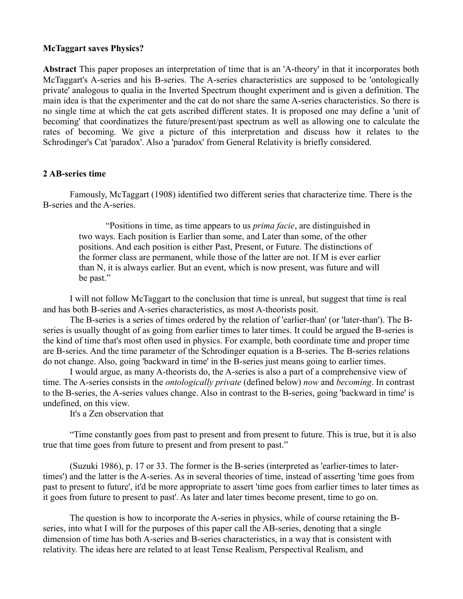## **McTaggart saves Physics?**

**Abstract** This paper proposes an interpretation of time that is an 'A-theory' in that it incorporates both McTaggart's A-series and his B-series. The A-series characteristics are supposed to be 'ontologically private' analogous to qualia in the Inverted Spectrum thought experiment and is given a definition. The main idea is that the experimenter and the cat do not share the same A-series characteristics. So there is no single time at which the cat gets ascribed different states. It is proposed one may define a 'unit of becoming' that coordinatizes the future/present/past spectrum as well as allowing one to calculate the rates of becoming. We give a picture of this interpretation and discuss how it relates to the Schrodinger's Cat 'paradox'. Also a 'paradox' from General Relativity is briefly considered.

## **2 AB-series time**

Famously, McTaggart (1908) identified two different series that characterize time. There is the B-series and the A-series.

"Positions in time, as time appears to us *prima facie*, are distinguished in two ways. Each position is Earlier than some, and Later than some, of the other positions. And each position is either Past, Present, or Future. The distinctions of the former class are permanent, while those of the latter are not. If M is ever earlier than N, it is always earlier. But an event, which is now present, was future and will be past."

I will not follow McTaggart to the conclusion that time is unreal, but suggest that time is real and has both B-series and A-series characteristics, as most A-theorists posit.

The B-series is a series of times ordered by the relation of 'earlier-than' (or 'later-than'). The Bseries is usually thought of as going from earlier times to later times. It could be argued the B-series is the kind of time that's most often used in physics. For example, both coordinate time and proper time are B-series. And the time parameter of the Schrodinger equation is a B-series. The B-series relations do not change. Also, going 'backward in time' in the B-series just means going to earlier times.

I would argue, as many A-theorists do, the A-series is also a part of a comprehensive view of time. The A-series consists in the *ontologically private* (defined below) *now* and *becoming*. In contrast to the B-series, the A-series values change. Also in contrast to the B-series, going 'backward in time' is undefined, on this view.

It's a Zen observation that

"Time constantly goes from past to present and from present to future. This is true, but it is also true that time goes from future to present and from present to past."

(Suzuki 1986), p. 17 or 33. The former is the B-series (interpreted as 'earlier-times to latertimes') and the latter is the A-series. As in several theories of time, instead of asserting 'time goes from past to present to future', it'd be more appropriate to assert 'time goes from earlier times to later times as it goes from future to present to past'. As later and later times become present, time to go on.

The question is how to incorporate the A-series in physics, while of course retaining the Bseries, into what I will for the purposes of this paper call the AB-series, denoting that a single dimension of time has both A-series and B-series characteristics, in a way that is consistent with relativity. The ideas here are related to at least Tense Realism, Perspectival Realism, and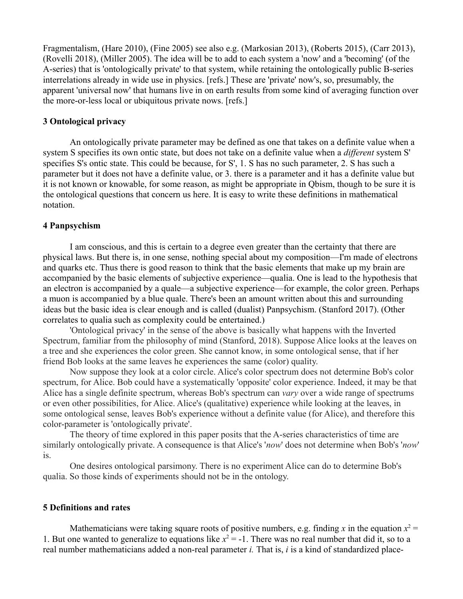Fragmentalism, (Hare 2010), (Fine 2005) see also e.g. (Markosian 2013), (Roberts 2015), (Carr 2013), (Rovelli 2018), (Miller 2005). The idea will be to add to each system a 'now' and a 'becoming' (of the A-series) that is 'ontologically private' to that system, while retaining the ontologically public B-series interrelations already in wide use in physics. [refs.] These are 'private' now's, so, presumably, the apparent 'universal now' that humans live in on earth results from some kind of averaging function over the more-or-less local or ubiquitous private nows. [refs.]

#### **3 Ontological privacy**

An ontologically private parameter may be defined as one that takes on a definite value when a system S specifies its own ontic state, but does not take on a definite value when a *different* system S' specifies S's ontic state. This could be because, for S', 1. S has no such parameter, 2. S has such a parameter but it does not have a definite value, or 3. there is a parameter and it has a definite value but it is not known or knowable, for some reason, as might be appropriate in Qbism, though to be sure it is the ontological questions that concern us here. It is easy to write these definitions in mathematical notation.

#### **4 Panpsychism**

I am conscious, and this is certain to a degree even greater than the certainty that there are physical laws. But there is, in one sense, nothing special about my composition—I'm made of electrons and quarks etc. Thus there is good reason to think that the basic elements that make up my brain are accompanied by the basic elements of subjective experience—qualia. One is lead to the hypothesis that an electron is accompanied by a quale—a subjective experience—for example, the color green. Perhaps a muon is accompanied by a blue quale. There's been an amount written about this and surrounding ideas but the basic idea is clear enough and is called (dualist) Panpsychism. (Stanford 2017). (Other correlates to qualia such as complexity could be entertained.)

'Ontological privacy' in the sense of the above is basically what happens with the Inverted Spectrum, familiar from the philosophy of mind (Stanford, 2018). Suppose Alice looks at the leaves on a tree and she experiences the color green. She cannot know, in some ontological sense, that if her friend Bob looks at the same leaves he experiences the same (color) quality.

Now suppose they look at a color circle. Alice's color spectrum does not determine Bob's color spectrum, for Alice. Bob could have a systematically 'opposite' color experience. Indeed, it may be that Alice has a single definite spectrum, whereas Bob's spectrum can *vary* over a wide range of spectrums or even other possibilities, for Alice. Alice's (qualitative) experience while looking at the leaves, in some ontological sense, leaves Bob's experience without a definite value (for Alice), and therefore this color-parameter is 'ontologically private'.

The theory of time explored in this paper posits that the A-series characteristics of time are similarly ontologically private. A consequence is that Alice's '*now*' does not determine when Bob's '*now*' is.

One desires ontological parsimony. There is no experiment Alice can do to determine Bob's qualia. So those kinds of experiments should not be in the ontology.

#### **5 Definitions and rates**

Mathematicians were taking square roots of positive numbers, e.g. finding x in the equation  $x^2 =$ 1. But one wanted to generalize to equations like  $x^2 = -1$ . There was no real number that did it, so to a real number mathematicians added a non-real parameter *i.* That is, *i* is a kind of standardized place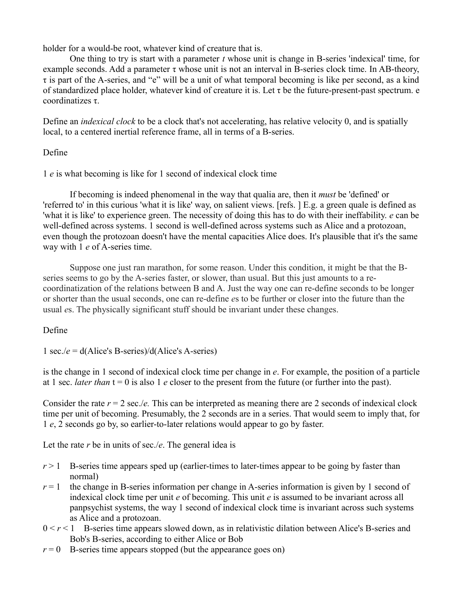holder for a would-be root, whatever kind of creature that is.

One thing to try is start with a parameter *t* whose unit is change in B-series 'indexical' time, for example seconds. Add a parameter τ whose unit is not an interval in B-series clock time. In AB-theory, τ is part of the A-series, and "e" will be a unit of what temporal becoming is like per second, as a kind of standardized place holder, whatever kind of creature it is. Let  $\tau$  be the future-present-past spectrum. e coordinatizes τ.

Define an *indexical clock* to be a clock that's not accelerating, has relative velocity 0, and is spatially local, to a centered inertial reference frame, all in terms of a B-series.

# Define

1 *e* is what becoming is like for 1 second of indexical clock time

If becoming is indeed phenomenal in the way that qualia are, then it *must* be 'defined' or 'referred to' in this curious 'what it is like' way, on salient views. [refs. ] E.g. a green quale is defined as 'what it is like' to experience green. The necessity of doing this has to do with their ineffability. *e* can be well-defined across systems. 1 second is well-defined across systems such as Alice and a protozoan, even though the protozoan doesn't have the mental capacities Alice does. It's plausible that it's the same way with 1 *e* of A-series time.

Suppose one just ran marathon, for some reason. Under this condition, it might be that the Bseries seems to go by the A-series faster, or slower, than usual. But this just amounts to a recoordinatization of the relations between B and A. Just the way one can re-define seconds to be longer or shorter than the usual seconds, one can re-define *e*s to be further or closer into the future than the usual *e*s. The physically significant stuff should be invariant under these changes.

# Define

1 sec./*e* = d(Alice's B-series)/d(Alice's A-series)

is the change in 1 second of indexical clock time per change in *e*. For example, the position of a particle at 1 sec. *later than*  $t = 0$  is also 1 *e* closer to the present from the future (or further into the past).

Consider the rate  $r = 2$  sec./*e*. This can be interpreted as meaning there are 2 seconds of indexical clock time per unit of becoming. Presumably, the 2 seconds are in a series. That would seem to imply that, for 1 *e*, 2 seconds go by, so earlier-to-later relations would appear to go by faster.

Let the rate *r* be in units of sec./*e*. The general idea is

- $r > 1$  B-series time appears sped up (earlier-times to later-times appear to be going by faster than normal)
- $r = 1$  the change in B-series information per change in A-series information is given by 1 second of indexical clock time per unit *e* of becoming. This unit *e* is assumed to be invariant across all panpsychist systems, the way 1 second of indexical clock time is invariant across such systems as Alice and a protozoan.
- $0 < r < 1$  B-series time appears slowed down, as in relativistic dilation between Alice's B-series and Bob's B-series, according to either Alice or Bob
- $r = 0$  B-series time appears stopped (but the appearance goes on)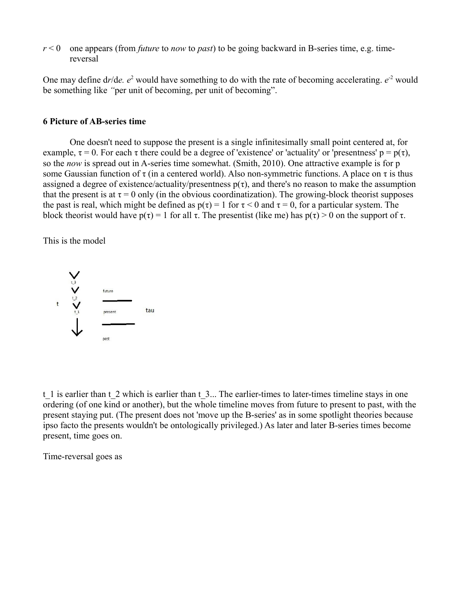*r* < 0 one appears (from *future* to *now* to *past*) to be going backward in B-series time, e.g. timereversal

One may define  $dr/de$ .  $e^2$  would have something to do with the rate of becoming accelerating.  $e^{-2}$  would be something like *"*per unit of becoming, per unit of becoming".

# **6 Picture of AB-series time**

One doesn't need to suppose the present is a single infinitesimally small point centered at, for example,  $\tau = 0$ . For each  $\tau$  there could be a degree of 'existence' or 'actuality' or 'presentness'  $p = p(\tau)$ , so the *now* is spread out in A-series time somewhat. (Smith, 2010). One attractive example is for p some Gaussian function of  $\tau$  (in a centered world). Also non-symmetric functions. A place on  $\tau$  is thus assigned a degree of existence/actuality/presentness  $p(\tau)$ , and there's no reason to make the assumption that the present is at  $\tau = 0$  only (in the obvious coordinatization). The growing-block theorist supposes the past is real, which might be defined as  $p(\tau) = 1$  for  $\tau < 0$  and  $\tau = 0$ , for a particular system. The block theorist would have  $p(\tau) = 1$  for all  $\tau$ . The presentist (like me) has  $p(\tau) > 0$  on the support of  $\tau$ .

This is the model



t 1 is earlier than t 2 which is earlier than t 3... The earlier-times to later-times timeline stays in one ordering (of one kind or another), but the whole timeline moves from future to present to past, with the present staying put. (The present does not 'move up the B-series' as in some spotlight theories because ipso facto the presents wouldn't be ontologically privileged.) As later and later B-series times become present, time goes on.

Time-reversal goes as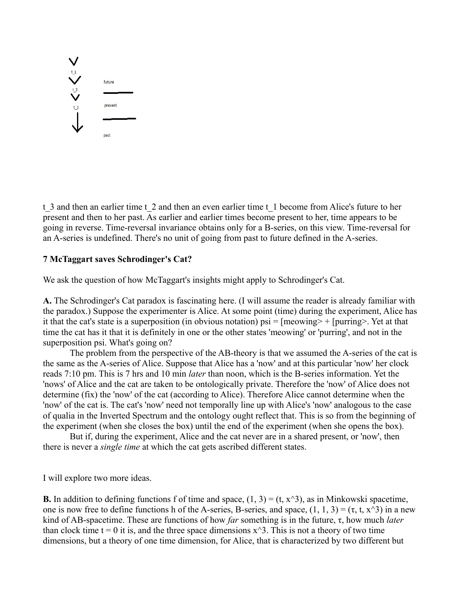

t 3 and then an earlier time t 2 and then an even earlier time t 1 become from Alice's future to her present and then to her past. As earlier and earlier times become present to her, time appears to be going in reverse. Time-reversal invariance obtains only for a B-series, on this view. Time-reversal for an A-series is undefined. There's no unit of going from past to future defined in the A-series.

## **7 McTaggart saves Schrodinger's Cat?**

We ask the question of how McTaggart's insights might apply to Schrodinger's Cat.

**A.** The Schrodinger's Cat paradox is fascinating here. (I will assume the reader is already familiar with the paradox.) Suppose the experimenter is Alice. At some point (time) during the experiment, Alice has it that the cat's state is a superposition (in obvious notation)  $psi = [meoving > + [purring >].$  Yet at that time the cat has it that it is definitely in one or the other states 'meowing' or 'purring', and not in the superposition psi. What's going on?

The problem from the perspective of the AB-theory is that we assumed the A-series of the cat is the same as the A-series of Alice. Suppose that Alice has a 'now' and at this particular 'now' her clock reads 7:10 pm. This is 7 hrs and 10 min *later* than noon, which is the B-series information. Yet the 'nows' of Alice and the cat are taken to be ontologically private. Therefore the 'now' of Alice does not determine (fix) the 'now' of the cat (according to Alice). Therefore Alice cannot determine when the 'now' of the cat is. The cat's 'now' need not temporally line up with Alice's 'now' analogous to the case of qualia in the Inverted Spectrum and the ontology ought reflect that. This is so from the beginning of the experiment (when she closes the box) until the end of the experiment (when she opens the box).

But if, during the experiment, Alice and the cat never are in a shared present, or 'now', then there is never a *single time* at which the cat gets ascribed different states.

I will explore two more ideas.

**B.** In addition to defining functions f of time and space,  $(1, 3) = (t, x^3)$ , as in Minkowski spacetime, one is now free to define functions h of the A-series, B-series, and space,  $(1, 1, 3) = (\tau, t, x^3)$  in a new kind of AB-spacetime. These are functions of how *far* something is in the future, τ, how much *later* than clock time  $t = 0$  it is, and the three space dimensions  $x^3$ . This is not a theory of two time dimensions, but a theory of one time dimension, for Alice, that is characterized by two different but